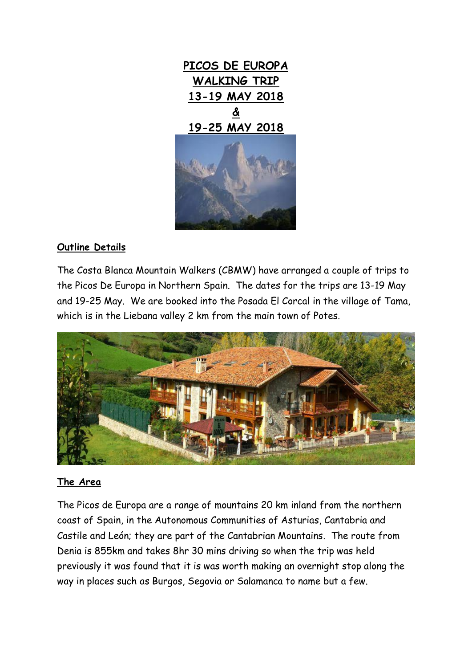

## **Outline Details**

The Costa Blanca Mountain Walkers (CBMW) have arranged a couple of trips to the Picos De Europa in Northern Spain. The dates for the trips are 13-19 May and 19-25 May. We are booked into the Posada El Corcal in the village of Tama, which is in the Liebana valley 2 km from the main town of Potes.



### **The Area**

The Picos de Europa are a range of mountains 20 km inland from the northern coast of Spain, in the Autonomous Communities of Asturias, Cantabria and Castile and León; they are part of the Cantabrian Mountains. The route from Denia is 855km and takes 8hr 30 mins driving so when the trip was held previously it was found that it is was worth making an overnight stop along the way in places such as Burgos, Segovia or Salamanca to name but a few.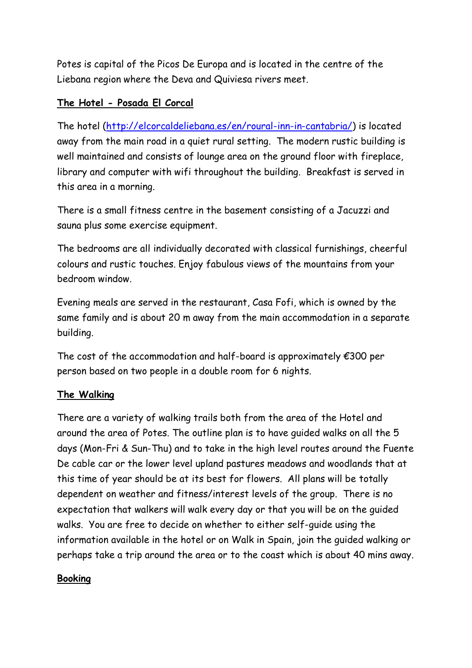Potes is capital of the Picos De Europa and is located in the centre of the Liebana region where the Deva and Quiviesa rivers meet.

## **The Hotel - Posada El Corcal**

The hotel [\(http://elcorcaldeliebana.es/en/roural-inn-in-cantabria/\)](http://elcorcaldeliebana.es/en/roural-inn-in-cantabria/) is located away from the main road in a quiet rural setting. The modern rustic building is well maintained and consists of lounge area on the ground floor with fireplace, library and computer with wifi throughout the building. Breakfast is served in this area in a morning.

There is a small fitness centre in the basement consisting of a Jacuzzi and sauna plus some exercise equipment.

The bedrooms are all individually decorated with classical furnishings, cheerful colours and rustic touches. Enjoy fabulous views of the mountains from your bedroom window.

Evening meals are served in the restaurant, Casa Fofi, which is owned by the same family and is about 20 m away from the main accommodation in a separate building.

The cost of the accommodation and half-board is approximately  $\epsilon$ 300 per person based on two people in a double room for 6 nights.

# **The Walking**

There are a variety of walking trails both from the area of the Hotel and around the area of Potes. The outline plan is to have guided walks on all the 5 days (Mon-Fri & Sun-Thu) and to take in the high level routes around the Fuente De cable car or the lower level upland pastures meadows and woodlands that at this time of year should be at its best for flowers. All plans will be totally dependent on weather and fitness/interest levels of the group. There is no expectation that walkers will walk every day or that you will be on the guided walks. You are free to decide on whether to either self-guide using the information available in the hotel or on Walk in Spain, join the guided walking or perhaps take a trip around the area or to the coast which is about 40 mins away.

### **Booking**